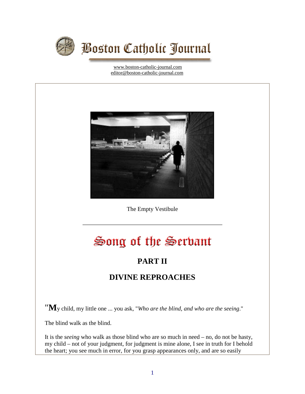

[www.boston-catholic-journal.com](http://www.boston-catholic-journal.com/) [editor@boston-catholic-journal.com](mailto:editor@boston-catholic-journal.com)



The Empty Vestibule

## Song of the Serbant

## **PART II**

## **DIVINE REPROACHES**

"**M**y child, my little one ... you ask, "*Who are the blind, and who are the seeing*."

The blind walk as the blind.

It is the *seeing* who walk as those blind who are so much in need – no, do not be hasty, my child – not of your judgment, for judgment is mine alone, I see in truth for I behold the heart; you see much in error, for you grasp appearances only, and are so easily